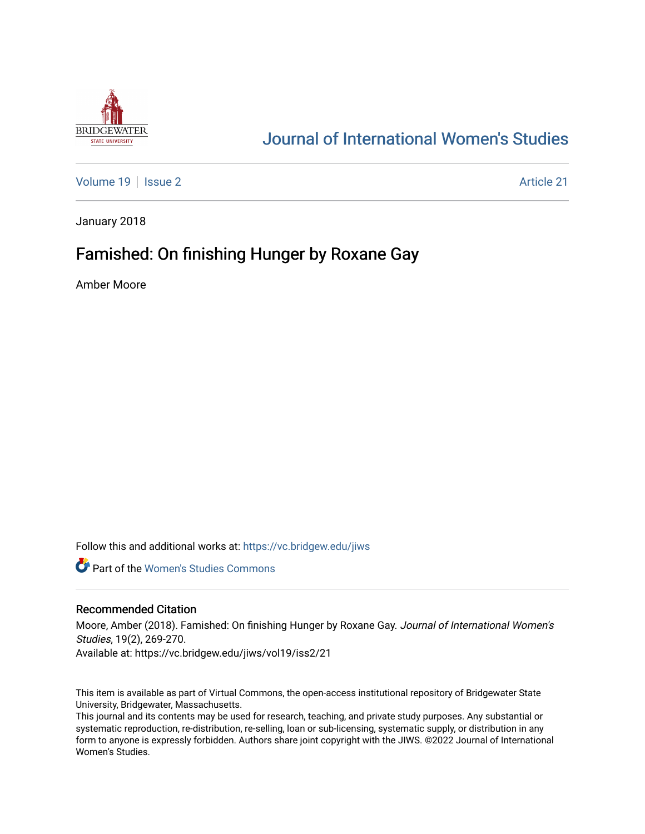

# [Journal of International Women's Studies](https://vc.bridgew.edu/jiws)

[Volume 19](https://vc.bridgew.edu/jiws/vol19) | [Issue 2](https://vc.bridgew.edu/jiws/vol19/iss2) Article 21

January 2018

# Famished: On finishing Hunger by Roxane Gay

Amber Moore

Follow this and additional works at: [https://vc.bridgew.edu/jiws](https://vc.bridgew.edu/jiws?utm_source=vc.bridgew.edu%2Fjiws%2Fvol19%2Fiss2%2F21&utm_medium=PDF&utm_campaign=PDFCoverPages)

**C** Part of the Women's Studies Commons

#### Recommended Citation

Moore, Amber (2018). Famished: On finishing Hunger by Roxane Gay. Journal of International Women's Studies, 19(2), 269-270.

Available at: https://vc.bridgew.edu/jiws/vol19/iss2/21

This item is available as part of Virtual Commons, the open-access institutional repository of Bridgewater State University, Bridgewater, Massachusetts.

This journal and its contents may be used for research, teaching, and private study purposes. Any substantial or systematic reproduction, re-distribution, re-selling, loan or sub-licensing, systematic supply, or distribution in any form to anyone is expressly forbidden. Authors share joint copyright with the JIWS. ©2022 Journal of International Women's Studies.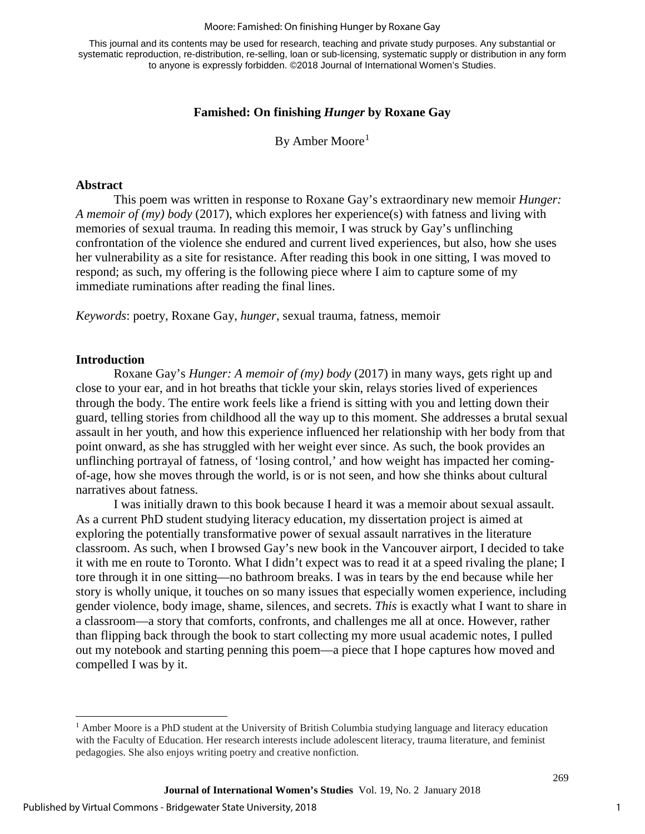#### Moore: Famished: On finishing Hunger by Roxane Gay

This journal and its contents may be used for research, teaching and private study purposes. Any substantial or systematic reproduction, re-distribution, re-selling, loan or sub-licensing, systematic supply or distribution in any form to anyone is expressly forbidden. ©2018 Journal of International Women's Studies.

### **Famished: On finishing** *Hunger* **by Roxane Gay**

By Amber Moore<sup>[1](#page-1-0)</sup>

### **Abstract**

This poem was written in response to Roxane Gay's extraordinary new memoir *Hunger: A memoir of (my) body* (2017), which explores her experience(s) with fatness and living with memories of sexual trauma. In reading this memoir, I was struck by Gay's unflinching confrontation of the violence she endured and current lived experiences, but also, how she uses her vulnerability as a site for resistance. After reading this book in one sitting, I was moved to respond; as such, my offering is the following piece where I aim to capture some of my immediate ruminations after reading the final lines.

*Keywords*: poetry, Roxane Gay, *hunger*, sexual trauma, fatness, memoir

#### **Introduction**

Roxane Gay's *Hunger: A memoir of (my) body* (2017) in many ways, gets right up and close to your ear, and in hot breaths that tickle your skin, relays stories lived of experiences through the body. The entire work feels like a friend is sitting with you and letting down their guard, telling stories from childhood all the way up to this moment. She addresses a brutal sexual assault in her youth, and how this experience influenced her relationship with her body from that point onward, as she has struggled with her weight ever since. As such, the book provides an unflinching portrayal of fatness, of 'losing control,' and how weight has impacted her comingof-age, how she moves through the world, is or is not seen, and how she thinks about cultural narratives about fatness.

I was initially drawn to this book because I heard it was a memoir about sexual assault. As a current PhD student studying literacy education, my dissertation project is aimed at exploring the potentially transformative power of sexual assault narratives in the literature classroom. As such, when I browsed Gay's new book in the Vancouver airport, I decided to take it with me en route to Toronto. What I didn't expect was to read it at a speed rivaling the plane; I tore through it in one sitting—no bathroom breaks. I was in tears by the end because while her story is wholly unique, it touches on so many issues that especially women experience, including gender violence, body image, shame, silences, and secrets. *This* is exactly what I want to share in a classroom—a story that comforts, confronts, and challenges me all at once. However, rather than flipping back through the book to start collecting my more usual academic notes, I pulled out my notebook and starting penning this poem—a piece that I hope captures how moved and compelled I was by it.

1

269

<span id="page-1-0"></span> $\overline{\phantom{a}}$ <sup>1</sup> Amber Moore is a PhD student at the University of British Columbia studying language and literacy education with the Faculty of Education. Her research interests include adolescent literacy, trauma literature, and feminist pedagogies. She also enjoys writing poetry and creative nonfiction.